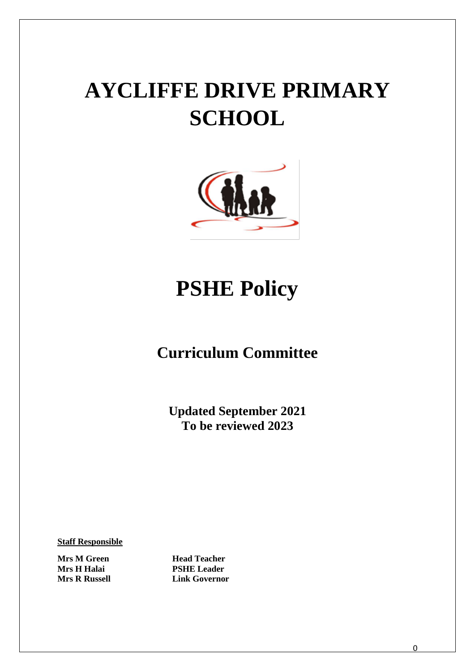# **AYCLIFFE DRIVE PRIMARY SCHOOL**



# **PSHE Policy**

# **Curriculum Committee**

**Updated September 2021 To be reviewed 2023**

**Staff Responsible**

**Mrs H Halai PSHE Leader**

**Mrs M Green Head Teacher Mrs R Russell Link Governor**

0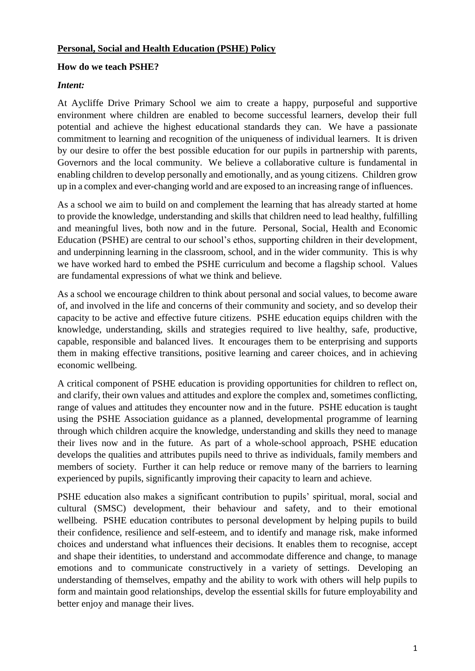#### **How do we teach PSHE?**

#### *Intent:*

At Aycliffe Drive Primary School we aim to create a happy, purposeful and supportive environment where children are enabled to become successful learners, develop their full potential and achieve the highest educational standards they can. We have a passionate commitment to learning and recognition of the uniqueness of individual learners. It is driven by our desire to offer the best possible education for our pupils in partnership with parents, Governors and the local community. We believe a collaborative culture is fundamental in enabling children to develop personally and emotionally, and as young citizens. Children grow up in a complex and ever-changing world and are exposed to an increasing range of influences.

As a school we aim to build on and complement the learning that has already started at home to provide the knowledge, understanding and skills that children need to lead healthy, fulfilling and meaningful lives, both now and in the future. Personal, Social, Health and Economic Education (PSHE) are central to our school's ethos, supporting children in their development, and underpinning learning in the classroom, school, and in the wider community. This is why we have worked hard to embed the PSHE curriculum and become a flagship school. Values are fundamental expressions of what we think and believe.

As a school we encourage children to think about personal and social values, to become aware of, and involved in the life and concerns of their community and society, and so develop their capacity to be active and effective future citizens. PSHE education equips children with the knowledge, understanding, skills and strategies required to live healthy, safe, productive, capable, responsible and balanced lives. It encourages them to be enterprising and supports them in making effective transitions, positive learning and career choices, and in achieving economic wellbeing.

A critical component of PSHE education is providing opportunities for children to reflect on, and clarify, their own values and attitudes and explore the complex and, sometimes conflicting, range of values and attitudes they encounter now and in the future. PSHE education is taught using the PSHE Association guidance as a planned, developmental programme of learning through which children acquire the knowledge, understanding and skills they need to manage their lives now and in the future. As part of a whole-school approach, PSHE education develops the qualities and attributes pupils need to thrive as individuals, family members and members of society. Further it can help reduce or remove many of the barriers to learning experienced by pupils, significantly improving their capacity to learn and achieve.

PSHE education also makes a significant contribution to pupils' spiritual, moral, social and cultural (SMSC) development, their behaviour and safety, and to their emotional wellbeing. PSHE education contributes to personal development by helping pupils to build their confidence, resilience and self-esteem, and to identify and manage risk, make informed choices and understand what influences their decisions. It enables them to recognise, accept and shape their identities, to understand and accommodate difference and change, to manage emotions and to communicate constructively in a variety of settings. Developing an understanding of themselves, empathy and the ability to work with others will help pupils to form and maintain good relationships, develop the essential skills for future employability and better enjoy and manage their lives.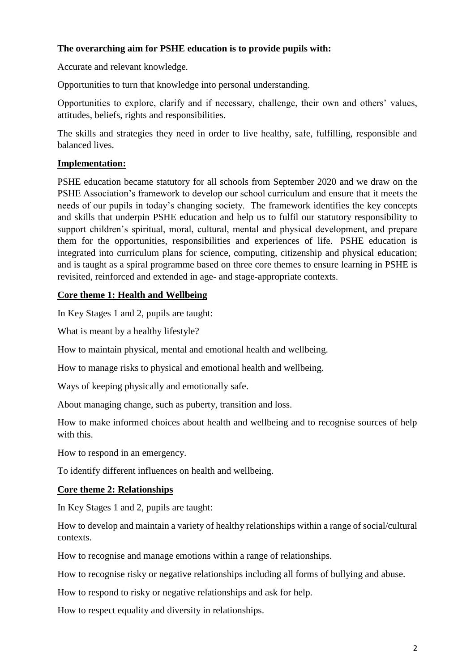# **The overarching aim for PSHE education is to provide pupils with:**

Accurate and relevant knowledge.

Opportunities to turn that knowledge into personal understanding.

Opportunities to explore, clarify and if necessary, challenge, their own and others' values, attitudes, beliefs, rights and responsibilities.

The skills and strategies they need in order to live healthy, safe, fulfilling, responsible and balanced lives.

## **Implementation:**

PSHE education became statutory for all schools from September 2020 and we draw on the PSHE Association's framework to develop our school curriculum and ensure that it meets the needs of our pupils in today's changing society. The framework identifies the key concepts and skills that underpin PSHE education and help us to fulfil our statutory responsibility to support children's spiritual, moral, cultural, mental and physical development, and prepare them for the opportunities, responsibilities and experiences of life. PSHE education is integrated into curriculum plans for science, computing, citizenship and physical education; and is taught as a spiral programme based on three core themes to ensure learning in PSHE is revisited, reinforced and extended in age- and stage-appropriate contexts.

## **Core theme 1: Health and Wellbeing**

In Key Stages 1 and 2, pupils are taught:

What is meant by a healthy lifestyle?

How to maintain physical, mental and emotional health and wellbeing.

How to manage risks to physical and emotional health and wellbeing.

Ways of keeping physically and emotionally safe.

About managing change, such as puberty, transition and loss.

How to make informed choices about health and wellbeing and to recognise sources of help with this.

How to respond in an emergency.

To identify different influences on health and wellbeing.

#### **Core theme 2: Relationships**

In Key Stages 1 and 2, pupils are taught:

How to develop and maintain a variety of healthy relationships within a range of social/cultural contexts.

How to recognise and manage emotions within a range of relationships.

How to recognise risky or negative relationships including all forms of bullying and abuse.

How to respond to risky or negative relationships and ask for help.

How to respect equality and diversity in relationships.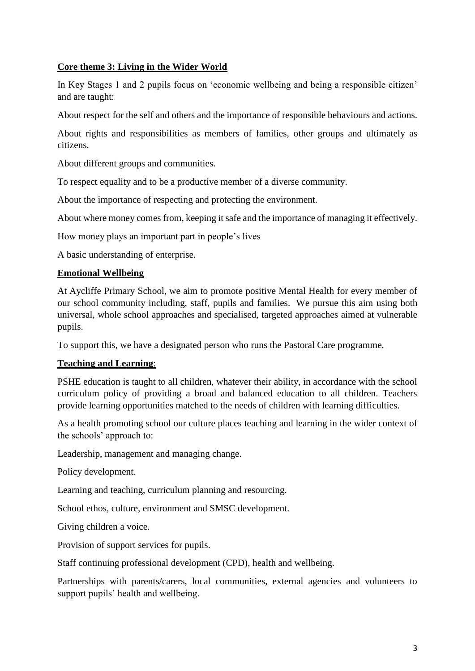## **Core theme 3: Living in the Wider World**

In Key Stages 1 and 2 pupils focus on 'economic wellbeing and being a responsible citizen' and are taught:

About respect for the self and others and the importance of responsible behaviours and actions.

About rights and responsibilities as members of families, other groups and ultimately as citizens.

About different groups and communities.

To respect equality and to be a productive member of a diverse community.

About the importance of respecting and protecting the environment.

About where money comes from, keeping it safe and the importance of managing it effectively.

How money plays an important part in people's lives

A basic understanding of enterprise.

#### **Emotional Wellbeing**

At Aycliffe Primary School, we aim to promote positive Mental Health for every member of our school community including, staff, pupils and families. We pursue this aim using both universal, whole school approaches and specialised, targeted approaches aimed at vulnerable pupils.

To support this, we have a designated person who runs the Pastoral Care programme.

#### **Teaching and Learning**:

PSHE education is taught to all children, whatever their ability, in accordance with the school curriculum policy of providing a broad and balanced education to all children. Teachers provide learning opportunities matched to the needs of children with learning difficulties.

As a health promoting school our culture places teaching and learning in the wider context of the schools' approach to:

Leadership, management and managing change.

Policy development.

Learning and teaching, curriculum planning and resourcing.

School ethos, culture, environment and SMSC development.

Giving children a voice.

Provision of support services for pupils.

Staff continuing professional development (CPD), health and wellbeing.

Partnerships with parents/carers, local communities, external agencies and volunteers to support pupils' health and wellbeing.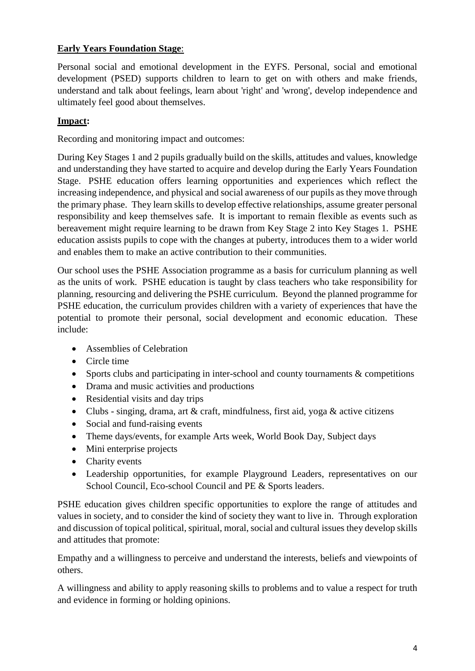# **Early Years Foundation Stage**:

Personal social and emotional development in the EYFS. Personal, social and emotional development (PSED) supports children to learn to get on with others and make friends, understand and talk about feelings, learn about 'right' and 'wrong', develop independence and ultimately feel good about themselves.

# **Impact:**

Recording and monitoring impact and outcomes:

During Key Stages 1 and 2 pupils gradually build on the skills, attitudes and values, knowledge and understanding they have started to acquire and develop during the Early Years Foundation Stage. PSHE education offers learning opportunities and experiences which reflect the increasing independence, and physical and social awareness of our pupils as they move through the primary phase. They learn skills to develop effective relationships, assume greater personal responsibility and keep themselves safe. It is important to remain flexible as events such as bereavement might require learning to be drawn from Key Stage 2 into Key Stages 1. PSHE education assists pupils to cope with the changes at puberty, introduces them to a wider world and enables them to make an active contribution to their communities.

Our school uses the PSHE Association programme as a basis for curriculum planning as well as the units of work. PSHE education is taught by class teachers who take responsibility for planning, resourcing and delivering the PSHE curriculum. Beyond the planned programme for PSHE education, the curriculum provides children with a variety of experiences that have the potential to promote their personal, social development and economic education. These include:

- Assemblies of Celebration
- Circle time
- Sports clubs and participating in inter-school and county tournaments  $&$  competitions
- Drama and music activities and productions
- Residential visits and day trips
- Clubs singing, drama, art & craft, mindfulness, first aid, yoga & active citizens
- Social and fund-raising events
- Theme days/events, for example Arts week, World Book Day, Subject days
- Mini enterprise projects
- Charity events
- Leadership opportunities, for example Playground Leaders, representatives on our School Council, Eco-school Council and PE & Sports leaders.

PSHE education gives children specific opportunities to explore the range of attitudes and values in society, and to consider the kind of society they want to live in. Through exploration and discussion of topical political, spiritual, moral, social and cultural issues they develop skills and attitudes that promote:

Empathy and a willingness to perceive and understand the interests, beliefs and viewpoints of others.

A willingness and ability to apply reasoning skills to problems and to value a respect for truth and evidence in forming or holding opinions.